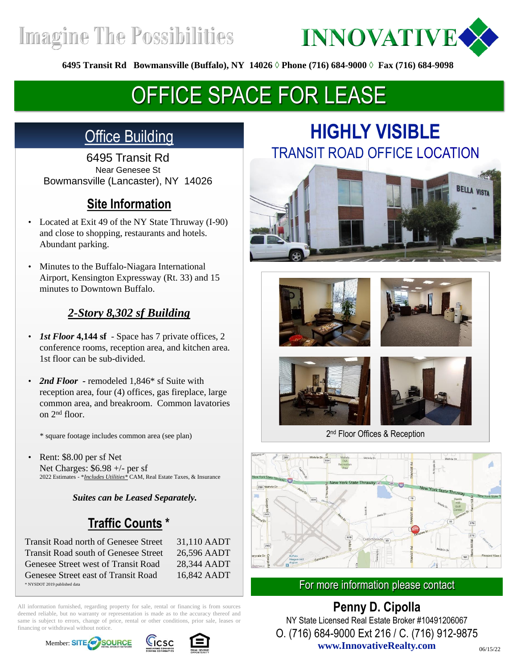**Imagine The Possibilities** 



**6495 Transit Rd Bowmansville (Buffalo), NY 14026 ◊ Phone (716) 684-9000 ◊ Fax (716) 684-9098**

# OFFICE SPACE FOR LEASE

### **Office Building**

6495 Transit Rd Near Genesee St Bowmansville (Lancaster), NY 14026

### **Site Information**

- Located at Exit 49 of the NY State Thruway (I-90) and close to shopping, restaurants and hotels. Abundant parking.
- Minutes to the Buffalo-Niagara International Airport, Kensington Expressway (Rt. 33) and 15 minutes to Downtown Buffalo.

#### *2-Story 8,302 sf Building*

- *1st Floor* **4,144 sf**  Space has 7 private offices, 2 conference rooms, reception area, and kitchen area. 1st floor can be sub-divided.
- *2nd Floor -* remodeled 1,846\* sf Suite with reception area, four (4) offices, gas fireplace, large common area, and breakroom. Common lavatories on 2nd floor.

\* square footage includes common area (see plan)

Rent: \$8.00 per sf Net Net Charges: \$6.98 +/- per sf 2022 Estimates - \**Includes Utilities\** CAM, Real Estate Taxes, & Insurance

*Suites can be Leased Separately.*

### **Traffic Counts \***

\* NYSDOT 2019 published data Transit Road north of Genesee Street 31,110 AADT Transit Road south of Genesee Street 26,596 AADT Genesee Street west of Transit Road 28,344 AADT Genesee Street east of Transit Road 16,842 AADT

All information furnished, regarding property for sale, rental or financing is from sources deemed reliable, but no warranty or representation is made as to the accuracy thereof and same is subject to errors, change of price, rental or other conditions, prior sale, leases or financing or withdrawal without notice.







# **HIGHLY VISIBLE**  TRANSIT ROAD OFFICE LOCATION











2<sup>nd</sup> Floor Offices & Reception



#### For more information please contact

**www.InnovativeRealty.com Penny D. Cipolla** NY State Licensed Real Estate Broker #10491206067 O. (716) 684-9000 Ext 216 / C. (716) 912-9875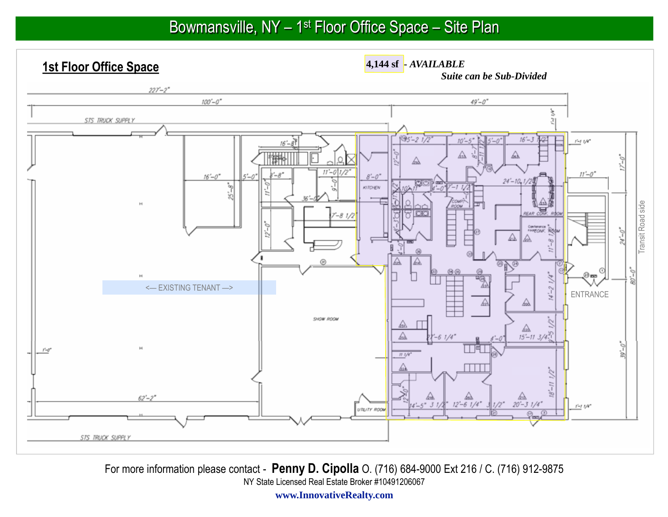## Bowmansville, NY – 1<sup>st</sup> Floor Office Space – Site Plan

**1st Floor Office Space**

**4,144 sf -** *AVAILABLE Suite can be Sub-Divided*



**www.InnovativeRealty.com**For more information please contact - **Penny D. Cipolla** O. (716) 684-9000 Ext 216 / C. (716) 912-9875NY State Licensed Real Estate Broker #10491206067